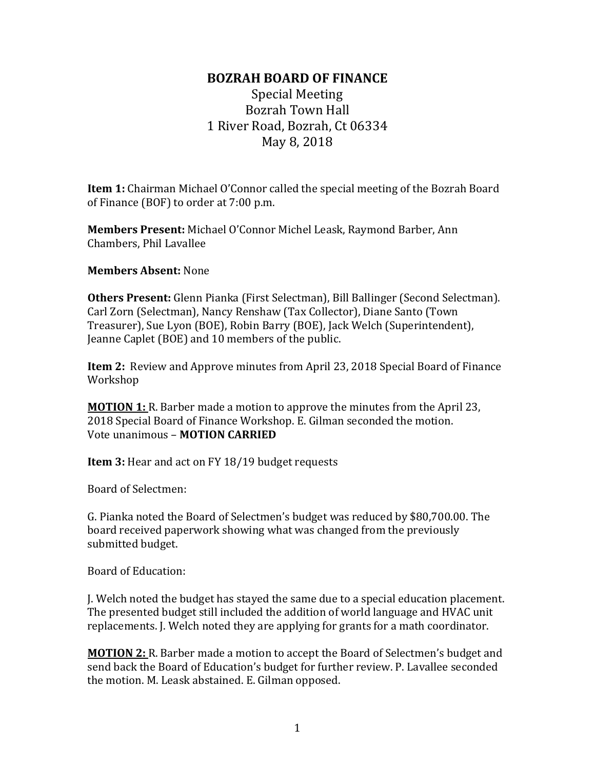## **BOZRAH BOARD OF FINANCE**

Special Meeting Bozrah Town Hall 1 River Road, Bozrah, Ct 06334 May 8, 2018

**Item 1:** Chairman Michael O'Connor called the special meeting of the Bozrah Board of Finance (BOF) to order at 7:00 p.m.

**Members Present:** Michael O'Connor Michel Leask, Raymond Barber, Ann Chambers, Phil Lavallee

## **Members Absent:** None

**Others Present:** Glenn Pianka (First Selectman), Bill Ballinger (Second Selectman). Carl Zorn (Selectman), Nancy Renshaw (Tax Collector), Diane Santo (Town Treasurer), Sue Lyon (BOE), Robin Barry (BOE), Jack Welch (Superintendent), Jeanne Caplet (BOE) and 10 members of the public.

**Item 2:** Review and Approve minutes from April 23, 2018 Special Board of Finance Workshop

**MOTION 1:** R. Barber made a motion to approve the minutes from the April 23, 2018 Special Board of Finance Workshop. E. Gilman seconded the motion. Vote unanimous – **MOTION CARRIED**

**Item 3:** Hear and act on FY 18/19 budget requests

Board of Selectmen:

G. Pianka noted the Board of Selectmen's budget was reduced by \$80,700.00. The board received paperwork showing what was changed from the previously submitted budget.

Board of Education:

J. Welch noted the budget has stayed the same due to a special education placement. The presented budget still included the addition of world language and HVAC unit replacements. J. Welch noted they are applying for grants for a math coordinator.

**MOTION 2:** R. Barber made a motion to accept the Board of Selectmen's budget and send back the Board of Education's budget for further review. P. Lavallee seconded the motion. M. Leask abstained. E. Gilman opposed.